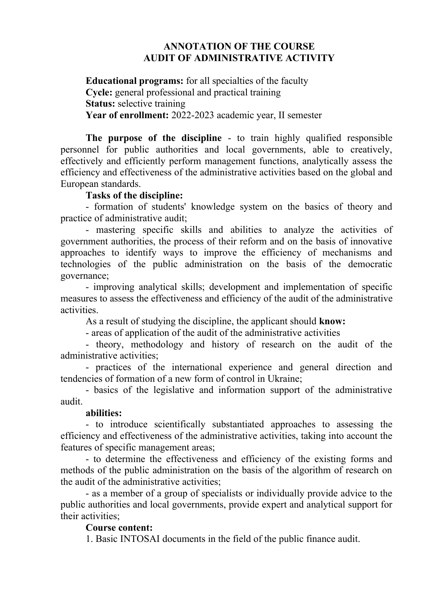## **ANNOTATION OF THE COURSE AUDIT OF ADMINISTRATIVE ACTIVITY**

**Educational programs:** for all specialties of the faculty **Cycle:** general professional and practical training **Status:** selective training **Year of enrollment:** 2022-2023 academic year, II semester

**The purpose of the discipline** - to train highly qualified responsible personnel for public authorities and local governments, able to creatively, effectively and efficiently perform management functions, analytically assess the efficiency and effectiveness of the administrative activities based on the global and European standards.

### **Tasks of the discipline:**

- formation of students' knowledge system on the basics of theory and practice of administrative audit;

- mastering specific skills and abilities to analyze the activities of government authorities, the process of their reform and on the basis of innovative approaches to identify ways to improve the efficiency of mechanisms and technologies of the public administration on the basis of the democratic governance;

- improving analytical skills; development and implementation of specific measures to assess the effectiveness and efficiency of the audit of the administrative activities.

As a result of studying the discipline, the applicant should **know:**

- areas of application of the audit of the administrative activities

- theory, methodology and history of research on the audit of the administrative activities;

- practices of the international experience and general direction and tendencies of formation of a new form of control in Ukraine;

- basics of the legislative and information support of the administrative audit.

#### **abilities:**

- to introduce scientifically substantiated approaches to assessing the efficiency and effectiveness of the administrative activities, taking into account the features of specific management areas;

- to determine the effectiveness and efficiency of the existing forms and methods of the public administration on the basis of the algorithm of research on the audit of the administrative activities;

- as a member of a group of specialists or individually provide advice to the public authorities and local governments, provide expert and analytical support for their activities;

#### **Course content:**

1. Basic INTOSAI documents in the field of the public finance audit.